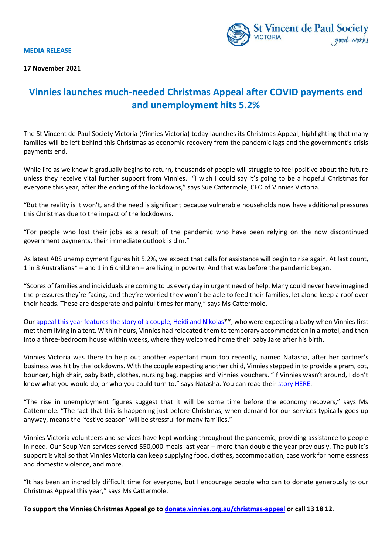**MEDIA RELEASE**

**17 November 2021**



## **Vinnies launches much-needed Christmas Appeal after COVID payments end and unemployment hits 5.2%**

The St Vincent de Paul Society Victoria (Vinnies Victoria) today launches its Christmas Appeal, highlighting that many families will be left behind this Christmas as economic recovery from the pandemic lags and the government's crisis payments end.

While life as we knew it gradually begins to return, thousands of people will struggle to feel positive about the future unless they receive vital further support from Vinnies. "I wish I could say it's going to be a hopeful Christmas for everyone this year, after the ending of the lockdowns," says Sue Cattermole, CEO of Vinnies Victoria.

"But the reality is it won't, and the need is significant because vulnerable households now have additional pressures this Christmas due to the impact of the lockdowns.

"For people who lost their jobs as a result of the pandemic who have been relying on the now discontinued government payments, their immediate outlook is dim."

As latest ABS unemployment figures hit 5.2%, we expect that calls for assistance will begin to rise again. At last count, 1 in 8 Australians\* – and 1 in 6 children – are living in poverty. And that was before the pandemic began.

"Scores of families and individuals are coming to us every day in urgent need of help. Many could never have imagined the pressures they're facing, and they're worried they won't be able to feed their families, let alone keep a roof over their heads. These are desperate and painful times for many," says Ms Cattermole.

Our [appeal this year features the story of a couple, Heidi and Nikolas\\*](https://donate.vinnies.org.au/appeals-vic/christmas-appeal-vic)\*, who were expecting a baby when Vinnies first met them living in a tent. Within hours, Vinnies had relocated them to temporary accommodation in a motel, and then into a three-bedroom house within weeks, where they welcomed home their baby Jake after his birth.

Vinnies Victoria was there to help out another expectant mum too recently, named Natasha, after her partner's business was hit by the lockdowns. With the couple expecting another child, Vinnies stepped in to provide a pram, cot, bouncer, high chair, baby bath, clothes, nursing bag, nappies and Vinnies vouchers. "If Vinnies wasn't around, I don't know what you would do, or who you could turn to," says Natasha. You can read thei[r story HERE.](https://www.vinnies.org.au/page/Publications/VICTORIA/Our_Services/Cost_of_Living/Meet_Natasha/)

"The rise in unemployment figures suggest that it will be some time before the economy recovers," says Ms Cattermole. "The fact that this is happening just before Christmas, when demand for our services typically goes up anyway, means the 'festive season' will be stressful for many families."

Vinnies Victoria volunteers and services have kept working throughout the pandemic, providing assistance to people in need. Our Soup Van services served 550,000 meals last year – more than double the year previously. The public's support is vital so that Vinnies Victoria can keep supplying food, clothes, accommodation, case work for homelessness and domestic violence, and more.

"It has been an incredibly difficult time for everyone, but I encourage people who can to donate generously to our Christmas Appeal this year," says Ms Cattermole.

**To support the Vinnies Christmas Appeal go to [donate.vinnies.org.au/christmas-appeal](https://donate.vinnies.org.au/christmas-appeal) or call 13 18 12.**